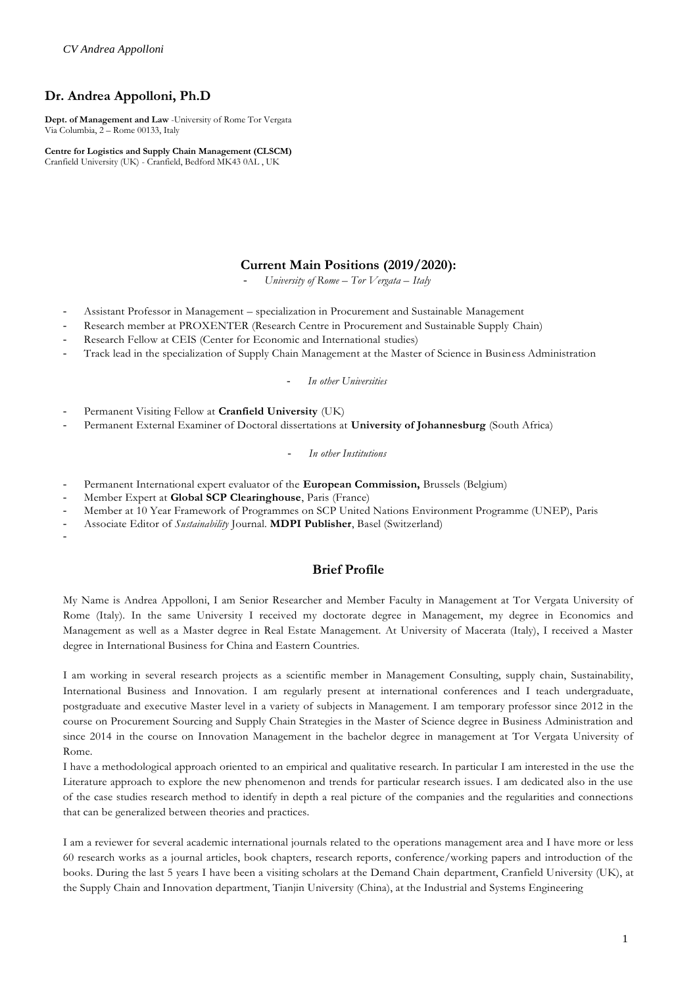# **Dr. Andrea Appolloni, Ph.D**

**Dept. of Management and Law** -University of Rome Tor Vergata Via Columbia, 2 – Rome 00133, Italy

**Centre for Logistics and Supply Chain Management (CLSCM)** Cranfield University (UK) - Cranfield, Bedford MK43 0AL , UK

# **Current Main Positions (2019/2020):**

- *University of Rome – Tor Vergata – Italy*

- Assistant Professor in Management specialization in Procurement and Sustainable Management
- Research member at PROXENTER (Research Centre in Procurement and Sustainable Supply Chain)
- Research Fellow at CEIS (Center for Economic and International studies)
- Track lead in the specialization of Supply Chain Management at the Master of Science in Business Administration

#### - *In other Universities*

- Permanent Visiting Fellow at **Cranfield University** (UK)
- Permanent External Examiner of Doctoral dissertations at **University of Johannesburg** (South Africa)

#### - *In other Institutions*

- Permanent International expert evaluator of the **European Commission,** Brussels (Belgium)
- Member Expert at **Global SCP Clearinghouse**, Paris (France)
- Member at 10 Year Framework of Programmes on SCP United Nations Environment Programme (UNEP), Paris
- Associate Editor of *Sustainability* Journal. **MDPI Publisher**, Basel (Switzerland)

-

# **Brief Profile**

My Name is Andrea Appolloni, I am Senior Researcher and Member Faculty in Management at Tor Vergata University of Rome (Italy). In the same University I received my doctorate degree in Management, my degree in Economics and Management as well as a Master degree in Real Estate Management. At University of Macerata (Italy), I received a Master degree in International Business for China and Eastern Countries.

I am working in several research projects as a scientific member in Management Consulting, supply chain, Sustainability, International Business and Innovation. I am regularly present at international conferences and I teach undergraduate, postgraduate and executive Master level in a variety of subjects in Management. I am temporary professor since 2012 in the course on Procurement Sourcing and Supply Chain Strategies in the Master of Science degree in Business Administration and since 2014 in the course on Innovation Management in the bachelor degree in management at Tor Vergata University of Rome.

I have a methodological approach oriented to an empirical and qualitative research. In particular I am interested in the use the Literature approach to explore the new phenomenon and trends for particular research issues. I am dedicated also in the use of the case studies research method to identify in depth a real picture of the companies and the regularities and connections that can be generalized between theories and practices.

I am a reviewer for several academic international journals related to the operations management area and I have more or less 60 research works as a journal articles, book chapters, research reports, conference/working papers and introduction of the books. During the last 5 years I have been a visiting scholars at the Demand Chain department, Cranfield University (UK), at the Supply Chain and Innovation department, Tianjin University (China), at the Industrial and Systems Engineering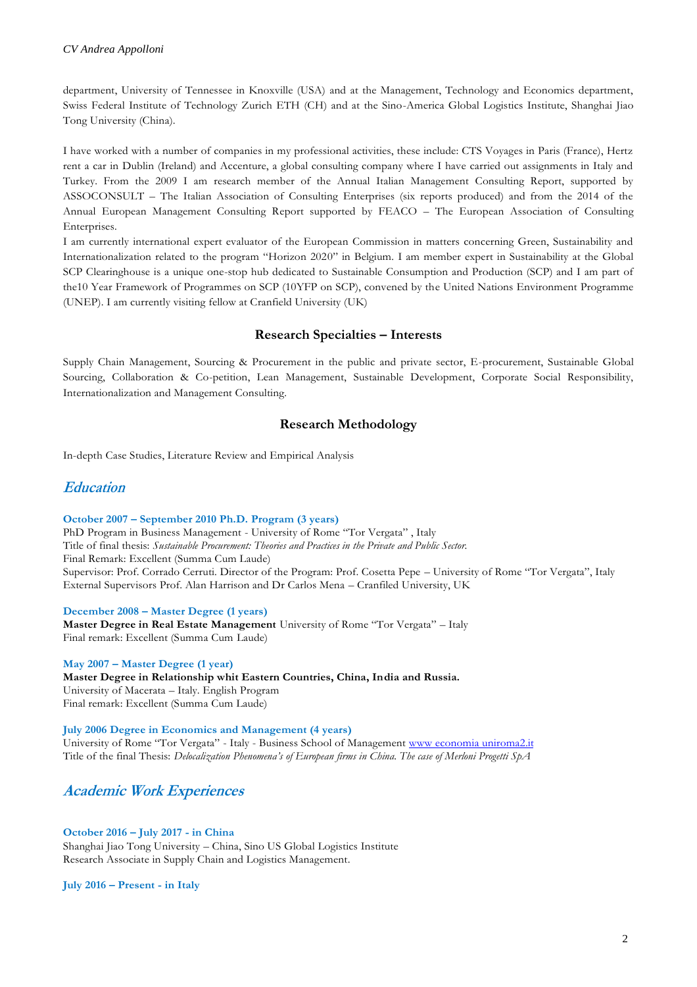department, University of Tennessee in Knoxville (USA) and at the Management, Technology and Economics department, Swiss Federal Institute of Technology Zurich ETH (CH) and at the Sino-America Global Logistics Institute, Shanghai Jiao Tong University (China).

I have worked with a number of companies in my professional activities, these include: CTS Voyages in Paris (France), Hertz rent a car in Dublin (Ireland) and Accenture, a global consulting company where I have carried out assignments in Italy and Turkey. From the 2009 I am research member of the Annual Italian Management Consulting Report, supported by ASSOCONSULT – The Italian Association of Consulting Enterprises (six reports produced) and from the 2014 of the Annual European Management Consulting Report supported by FEACO – The European Association of Consulting Enterprises.

I am currently international expert evaluator of the European Commission in matters concerning Green, Sustainability and Internationalization related to the program "Horizon 2020" in Belgium. I am member expert in Sustainability at the Global SCP Clearinghouse is a unique one-stop hub dedicated to Sustainable Consumption and Production (SCP) and I am part of the10 Year Framework of Programmes on SCP (10YFP on SCP), convened by the United Nations Environment Programme (UNEP). I am currently visiting fellow at Cranfield University (UK)

### **Research Specialties – Interests**

Supply Chain Management, Sourcing & Procurement in the public and private sector, E-procurement, Sustainable Global Sourcing, Collaboration & Co-petition, Lean Management, Sustainable Development, Corporate Social Responsibility, Internationalization and Management Consulting.

## **Research Methodology**

In-depth Case Studies, Literature Review and Empirical Analysis

# **Education**

#### **October 2007 – September 2010 Ph.D. Program (3 years)**

PhD Program in Business Management - University of Rome "Tor Vergata" , Italy Title of final thesis: *Sustainable Procurement: Theories and Practices in the Private and Public Sector.* Final Remark: Excellent (Summa Cum Laude) Supervisor: Prof. Corrado Cerruti. Director of the Program: Prof. Cosetta Pepe – University of Rome "Tor Vergata", Italy External Supervisors Prof. Alan Harrison and Dr Carlos Mena – Cranfiled University, UK

#### **December 2008 – Master Degree (1 years)**

**Master Degree in Real Estate Management** University of Rome "Tor Vergata" – Italy Final remark: Excellent (Summa Cum Laude)

#### **May 2007 – Master Degree (1 year)**

**Master Degree in Relationship whit Eastern Countries, China, India and Russia.** University of Macerata – Italy. English Program Final remark: Excellent (Summa Cum Laude)

**July 2006 Degree in Economics and Management (4 years)** University of Rome "Tor Vergata" - Italy - Business School of Management www economia uniroma2.it Title of the final Thesis: *Delocalization Phenomena's of European firms in China. The case of Merloni Progetti SpA*

# **Academic Work Experiences**

#### **October 2016 – July 2017 - in China**

Shanghai Jiao Tong University – China, Sino US Global Logistics Institute Research Associate in Supply Chain and Logistics Management.

**July 2016 – Present - in Italy**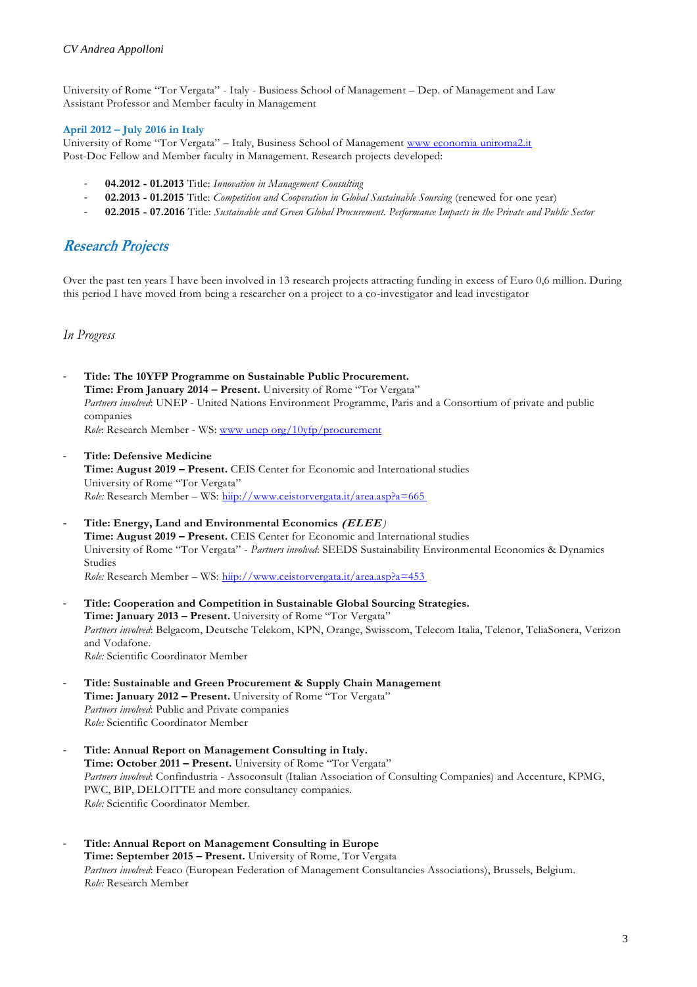University of Rome "Tor Vergata" - Italy - Business School of Management – Dep. of Management and Law Assistant Professor and Member faculty in Management

#### **April 2012 – July 2016 in Italy**

University of Rome "Tor Vergata" – Italy, Business School of Management www economia uniroma2.it Post-Doc Fellow and Member faculty in Management. Research projects developed:

- **04.2012 - 01.2013** Title: *Innovation in Management Consulting*
- **02.2013 - 01.2015** Title: *Competition and Cooperation in Global Sustainable Sourcing* (renewed for one year)
- **02.2015 - 07.2016** Title: *Sustainable and Green Global Procurement. Performance Impacts in the Private and Public Sector*

# **Research Projects**

Over the past ten years I have been involved in 13 research projects attracting funding in excess of Euro 0,6 million. During this period I have moved from being a researcher on a project to a co-investigator and lead investigator

*In Progress*

- **Title: The 10YFP Programme on Sustainable Public Procurement. Time: From January 2014 – Present.** University of Rome "Tor Vergata" *Partners involved*: UNEP - United Nations Environment Programme, Paris and a Consortium of private and public companies *Role*: Research Member - WS: www unep org/10yfp/procurement
- **Title: Defensive Medicine Time: August 2019 – Present.** CEIS Center for Economic and International studies University of Rome "Tor Vergata" *Role:* Research Member – WS: hiip://www.ceistorvergata.it/area.asp?a=665
- **Title: Energy, Land and Environmental Economics (ELEE** *)* **Time: August 2019 – Present.** CEIS Center for Economic and International studies University of Rome "Tor Vergata" - *Partners involved*: SEEDS Sustainability Environmental Economics & Dynamics Studies *Role:* Research Member – WS: hiip://www.ceistorvergata.it/area.asp?a=453
- **Title: Cooperation and Competition in Sustainable Global Sourcing Strategies. Time: January 2013 – Present.** University of Rome "Tor Vergata" *Partners involved*: Belgacom, Deutsche Telekom, KPN, Orange, Swisscom, Telecom Italia, Telenor, TeliaSonera, Verizon and Vodafone. *Role:* Scientific Coordinator Member
- **Title: Sustainable and Green Procurement & Supply Chain Management Time: January 2012 – Present.** University of Rome "Tor Vergata" *Partners involved*: Public and Private companies *Role:* Scientific Coordinator Member
- **Title: Annual Report on Management Consulting in Italy. Time: October 2011 – Present.** University of Rome "Tor Vergata" *Partners involved*: Confindustria - Assoconsult (Italian Association of Consulting Companies) and Accenture, KPMG, PWC, BIP, DELOITTE and more consultancy companies. *Role:* Scientific Coordinator Member.
- **Title: Annual Report on Management Consulting in Europe Time: September 2015 – Present.** University of Rome, Tor Vergata *Partners involved*: Feaco (European Federation of Management Consultancies Associations), Brussels, Belgium. *Role:* Research Member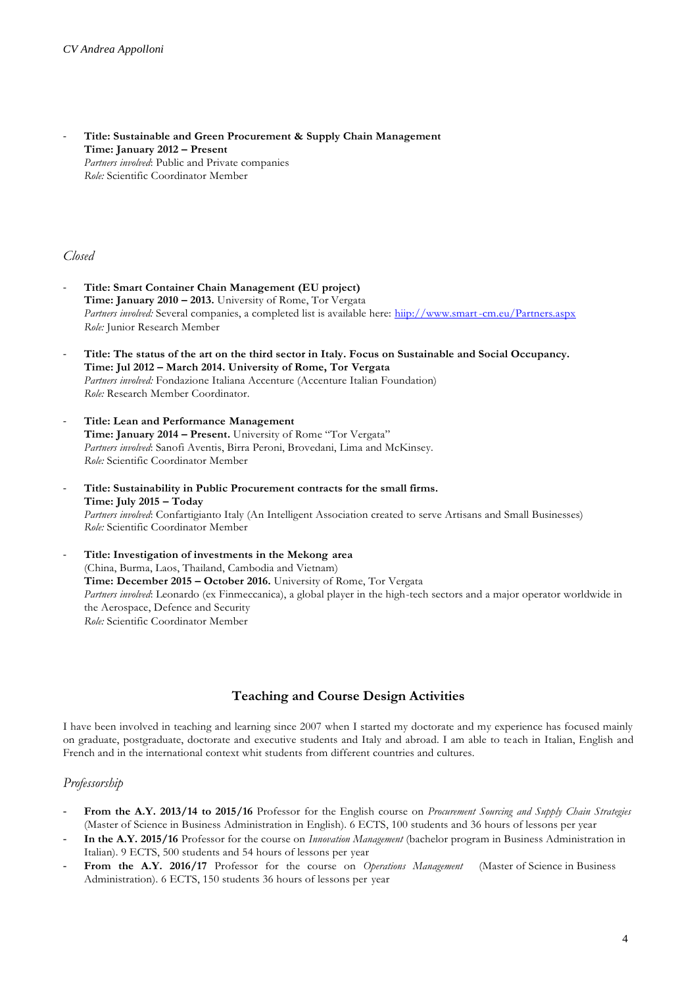- **Title: Sustainable and Green Procurement & Supply Chain Management Time: January 2012 – Present** *Partners involved*: Public and Private companies *Role:* Scientific Coordinator Member

#### *Closed*

- **Title: Smart Container Chain Management (EU project) Time: January 2010 – 2013.** University of Rome, Tor Vergata Partners involved: Several companies, a completed list is available here: hiip://www.smart-cm.eu/Partners.aspx *Role:* Junior Research Member
- **Title: The status of the art on the third sector in Italy. Focus on Sustainable and Social Occupancy. Time: Jul 2012 – March 2014. University of Rome, Tor Vergata** *Partners involved:* Fondazione Italiana Accenture (Accenture Italian Foundation) *Role:* Research Member Coordinator.
- **Title: Lean and Performance Management Time: January 2014 – Present.** University of Rome "Tor Vergata" *Partners involved*: Sanofi Aventis, Birra Peroni, Brovedani, Lima and McKinsey. *Role:* Scientific Coordinator Member
- **Title: Sustainability in Public Procurement contracts for the small firms. Time: July 2015 – Today** *Partners involved*: Confartigianto Italy (An Intelligent Association created to serve Artisans and Small Businesses) *Role:* Scientific Coordinator Member
- **Title: Investigation of investments in the Mekong area** (China, Burma, Laos, Thailand, Cambodia and Vietnam) **Time: December 2015 – October 2016.** University of Rome, Tor Vergata *Partners involved*: Leonardo (ex Finmeccanica), a global player in the high-tech sectors and a major operator worldwide in the Aerospace, Defence and Security *Role:* Scientific Coordinator Member

### **Teaching and Course Design Activities**

I have been involved in teaching and learning since 2007 when I started my doctorate and my experience has focused mainly on graduate, postgraduate, doctorate and executive students and Italy and abroad. I am able to teach in Italian, English and French and in the international context whit students from different countries and cultures.

### *Professorship*

- **From the A.Y. 2013/14 to 2015/16** Professor for the English course on *Procurement Sourcing and Supply Chain Strategies* (Master of Science in Business Administration in English). 6 ECTS, 100 students and 36 hours of lessons per year
- **In the A.Y. 2015/16** Professor for the course on *Innovation Management* (bachelor program in Business Administration in Italian). 9 ECTS, 500 students and 54 hours of lessons per year
- From the A.Y. 2016/17 Professor for the course on *Operations Management* (Master of Science in Business Administration). 6 ECTS, 150 students 36 hours of lessons per year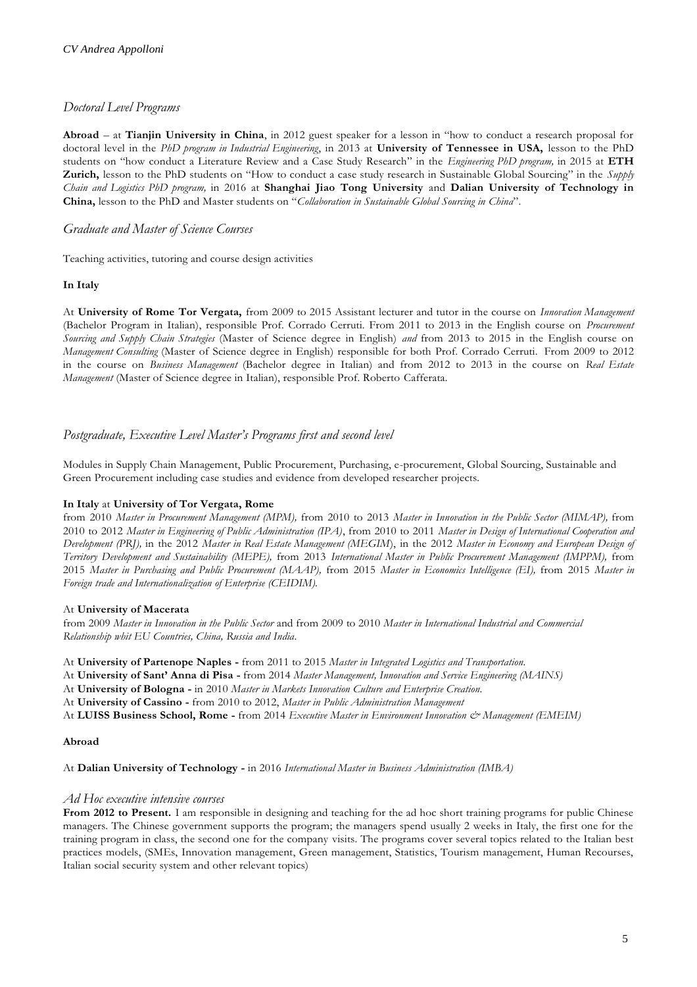## *Doctoral Level Programs*

**Abroad** – at **Tianjin University in China**, in 2012 guest speaker for a lesson in "how to conduct a research proposal for doctoral level in the *PhD program in Industrial Engineering*, in 2013 at **University of Tennessee in USA,** lesson to the PhD students on "how conduct a Literature Review and a Case Study Research" in the *Engineering PhD program,* in 2015 at **ETH Zurich,** lesson to the PhD students on "How to conduct a case study research in Sustainable Global Sourcing" in the *Supply Chain and Logistics PhD program,* in 2016 at **Shanghai Jiao Tong University** and **Dalian University of Technology in China,** lesson to the PhD and Master students on "*Collaboration in Sustainable Global Sourcing in China*".

### *Graduate and Master of Science Courses*

Teaching activities, tutoring and course design activities

#### **In Italy**

At **University of Rome Tor Vergata,** from 2009 to 2015 Assistant lecturer and tutor in the course on *Innovation Management*  (Bachelor Program in Italian), responsible Prof. Corrado Cerruti. From 2011 to 2013 in the English course on *Procurement Sourcing and Supply Chain Strategies* (Master of Science degree in English) *and* from 2013 to 2015 in the English course on *Management Consulting* (Master of Science degree in English) responsible for both Prof. Corrado Cerruti. From 2009 to 2012 in the course on *Business Management* (Bachelor degree in Italian) and from 2012 to 2013 in the course on *Real Estate Management* (Master of Science degree in Italian), responsible Prof. Roberto Cafferata.

## *Postgraduate, Executive Level Master's Programs first and second level*

Modules in Supply Chain Management, Public Procurement, Purchasing, e-procurement, Global Sourcing, Sustainable and Green Procurement including case studies and evidence from developed researcher projects.

### **In Italy** at **University of Tor Vergata, Rome**

from 2010 *Master in Procurement Management (MPM),* from 2010 to 2013 *Master in Innovation in the Public Sector (MIMAP),* from 2010 to 2012 *Master in Engineering of Public Administration (IPA)*, from 2010 to 2011 *Master in Design of International Cooperation and Development (PRJ),* in the 2012 *Master in Real Estate Management (MEGIM*), in the 2012 *Master in Economy and European Design of Territory Development and Sustainability (MEPE),* from 2013 *International Master in Public Procurement Management (IMPPM),* from 2015 *Master in Purchasing and Public Procurement (MAAP),* from 2015 *Master in Economics Intelligence (EI),* from 2015 *Master in Foreign trade and Internationalization of Enterprise (CEIDIM).*

### At **University of Macerata**

from 2009 *Master in Innovation in the Public Sector* and from 2009 to 2010 *Master in International Industrial and Commercial Relationship whit EU Countries, China, Russia and India*.

At **University of Partenope Naples -** from 2011 to 2015 *Master in Integrated Logistics and Transportation.*

- At **University of Sant' Anna di Pisa -** from 2014 *Master Management, Innovation and Service Engineering (MAINS)*
- At **University of Bologna -** in 2010 *Master in Markets Innovation Culture and Enterprise Creation.*
- At **University of Cassino -** from 2010 to 2012, *Master in Public Administration Management*

At **LUISS Business School, Rome -** from 2014 *Executive Master in Environment Innovation & Management (EMEIM)*

#### **Abroad**

At **Dalian University of Technology -** in 2016 *International Master in Business Administration (IMBA)*

### *Ad Hoc executive intensive courses*

**From 2012 to Present.** I am responsible in designing and teaching for the ad hoc short training programs for public Chinese managers. The Chinese government supports the program; the managers spend usually 2 weeks in Italy, the first one for the training program in class, the second one for the company visits. The programs cover several topics related to the Italian best practices models, (SMEs, Innovation management, Green management, Statistics, Tourism management, Human Recourses, Italian social security system and other relevant topics)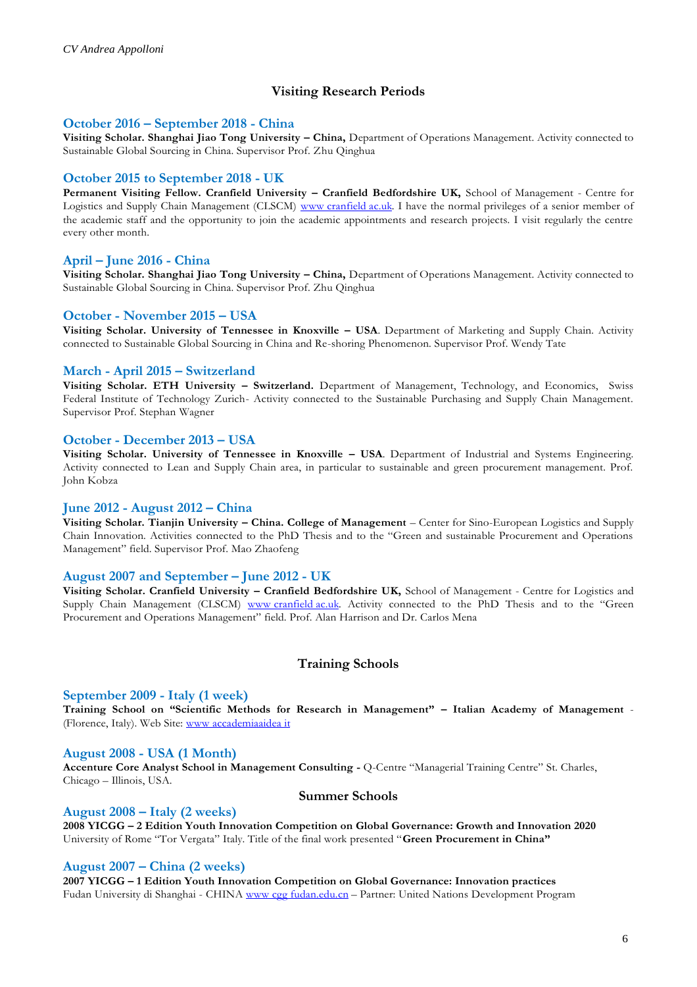# **Visiting Research Periods**

### **October 2016 – September 2018 - China**

**Visiting Scholar. Shanghai Jiao Tong University – China,** Department of Operations Management. Activity connected to Sustainable Global Sourcing in China. Supervisor Prof. Zhu Qinghua

# **October 2015 to September 2018 - UK**

**Permanent Visiting Fellow. Cranfield University – Cranfield Bedfordshire UK,** School of Management - Centre for Logistics and Supply Chain Management (CLSCM) www cranfield ac.uk. I have the normal privileges of a senior member of the academic staff and the opportunity to join the academic appointments and research projects. I visit regularly the centre every other month.

# **April – June 2016 - China**

**Visiting Scholar. Shanghai Jiao Tong University – China,** Department of Operations Management. Activity connected to Sustainable Global Sourcing in China. Supervisor Prof. Zhu Qinghua

## **October - November 2015 – USA**

**Visiting Scholar. University of Tennessee in Knoxville – USA**. Department of Marketing and Supply Chain. Activity connected to Sustainable Global Sourcing in China and Re-shoring Phenomenon. Supervisor Prof. Wendy Tate

### **March - April 2015 – Switzerland**

**Visiting Scholar. ETH University – Switzerland.** Department of Management, Technology, and Economics, Swiss Federal Institute of Technology Zurich- Activity connected to the Sustainable Purchasing and Supply Chain Management. Supervisor Prof. Stephan Wagner

### **October - December 2013 – USA**

Visiting Scholar. University of Tennessee in Knoxville - USA. Department of Industrial and Systems Engineering. Activity connected to Lean and Supply Chain area, in particular to sustainable and green procurement management. Prof. John Kobza

### **June 2012 - August 2012 – China**

**Visiting Scholar. Tianjin University – China. College of Management** – Center for Sino-European Logistics and Supply Chain Innovation. Activities connected to the PhD Thesis and to the "Green and sustainable Procurement and Operations Management" field. Supervisor Prof. Mao Zhaofeng

### **August 2007 and September – June 2012 - UK**

**Visiting Scholar. Cranfield University – Cranfield Bedfordshire UK,** School of Management - Centre for Logistics and Supply Chain Management (CLSCM) www cranfield ac.uk. Activity connected to the PhD Thesis and to the "Green Procurement and Operations Management" field. Prof. Alan Harrison and Dr. Carlos Mena

### **Training Schools**

### **September 2009 - Italy (1 week)**

**Training School on "Scientific Methods for Research in Management" – Italian Academy of Management** - (Florence, Italy). Web Site: www accademiaaidea it

### **August 2008 - USA (1 Month)**

**Accenture Core Analyst School in Management Consulting -** Q-Centre "Managerial Training Centre" St. Charles, Chicago – Illinois, USA.

### **Summer Schools**

### **August 2008 – Italy (2 weeks)**

**2008 YICGG – 2 Edition Youth Innovation Competition on Global Governance: Growth and Innovation 2020** University of Rome "Tor Vergata" Italy. Title of the final work presented "**Green Procurement in China"**

### **August 2007 – China (2 weeks)**

**2007 YICGG – 1 Edition Youth Innovation Competition on Global Governance: Innovation practices** Fudan University di Shanghai - CHINA www cop fudan.edu.cn - Partner: United Nations Development Program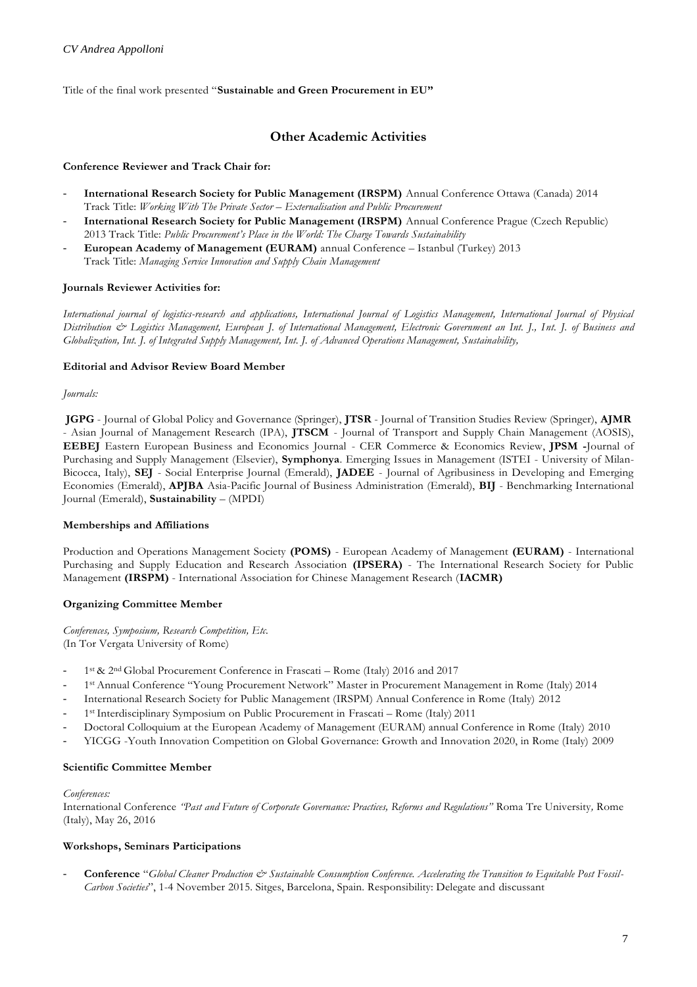Title of the final work presented "**Sustainable and Green Procurement in EU"**

# **Other Academic Activities**

#### **Conference Reviewer and Track Chair for:**

- **International Research Society for Public Management (IRSPM)** Annual Conference Ottawa (Canada) 2014 Track Title: *Working With The Private Sector – Externalisation and Public Procurement*
- **International Research Society for Public Management (IRSPM)** Annual Conference Prague (Czech Republic) 2013 Track Title: *Public Procurement's Place in the World: The Charge Towards Sustainability*
- **European Academy of Management (EURAM)** annual Conference Istanbul (Turkey) 2013 Track Title: *Managing Service Innovation and Supply Chain Management*

#### **Journals Reviewer Activities for:**

*International journal of logistics-research and applications, International Journal of Logistics Management, International Journal of Physical Distribution & Logistics Management, European J. of International Management, Electronic Government an Int. J., Int. J. of Business and Globalization, Int. J. of Integrated Supply Management, Int. J. of Advanced Operations Management, Sustainability,*

#### **Editorial and Advisor Review Board Member**

#### *Journals:*

**JGPG** - Journal of Global Policy and Governance (Springer), **JTSR** - Journal of Transition Studies Review (Springer), **AJMR** - Asian Journal of Management Research (IPA), **JTSCM** - Journal of Transport and Supply Chain Management (AOSIS), **EEBEJ** Eastern European Business and Economics Journal - CER Commerce & Economics Review, **JPSM -**Journal of Purchasing and Supply Management (Elsevier), **Symphonya**. Emerging Issues in Management (ISTEI - University of Milan-Bicocca, Italy), **SEJ** - Social Enterprise Journal (Emerald), **JADEE** - Journal of Agribusiness in Developing and Emerging Economies (Emerald), **APJBA** Asia-Pacific Journal of Business Administration (Emerald), **BIJ** - Benchmarking International Journal (Emerald), **Sustainability** – (MPDI)

#### **Memberships and Affiliations**

Production and Operations Management Society **(POMS)** - European Academy of Management **(EURAM)** - International Purchasing and Supply Education and Research Association **(IPSERA)** - The International Research Society for Public Management **(IRSPM)** - International Association for Chinese Management Research (**IACMR)**

### **Organizing Committee Member**

*Conferences, Symposium, Research Competition, Etc.* (In Tor Vergata University of Rome)

- <sup>1</sup> <sup>1st</sup> & 2<sup>nd</sup> Global Procurement Conference in Frascati Rome (Italy) 2016 and 2017
- 1 st Annual Conference "Young Procurement Network" Master in Procurement Management in Rome (Italy) 2014
- International Research Society for Public Management (IRSPM) Annual Conference in Rome (Italy) 2012
- 1<sup>st</sup> Interdisciplinary Symposium on Public Procurement in Frascati Rome (Italy) 2011
- Doctoral Colloquium at the European Academy of Management (EURAM) annual Conference in Rome (Italy) 2010
- YICGG -Youth Innovation Competition on Global Governance: Growth and Innovation 2020, in Rome (Italy) 2009

### **Scientific Committee Member**

#### *Conferences:*

International Conference *"Past and Future of Corporate Governance: Practices, Reforms and Regulations"* Roma Tre University*,* Rome (Italy), May 26, 2016

#### **Workshops, Seminars Participations**

Conference "Global Cleaner Production & Sustainable Consumption Conference. Accelerating the Transition to Equitable Post Fossil-*Carbon Societies*", 1-4 November 2015. Sitges, Barcelona, Spain. Responsibility: Delegate and discussant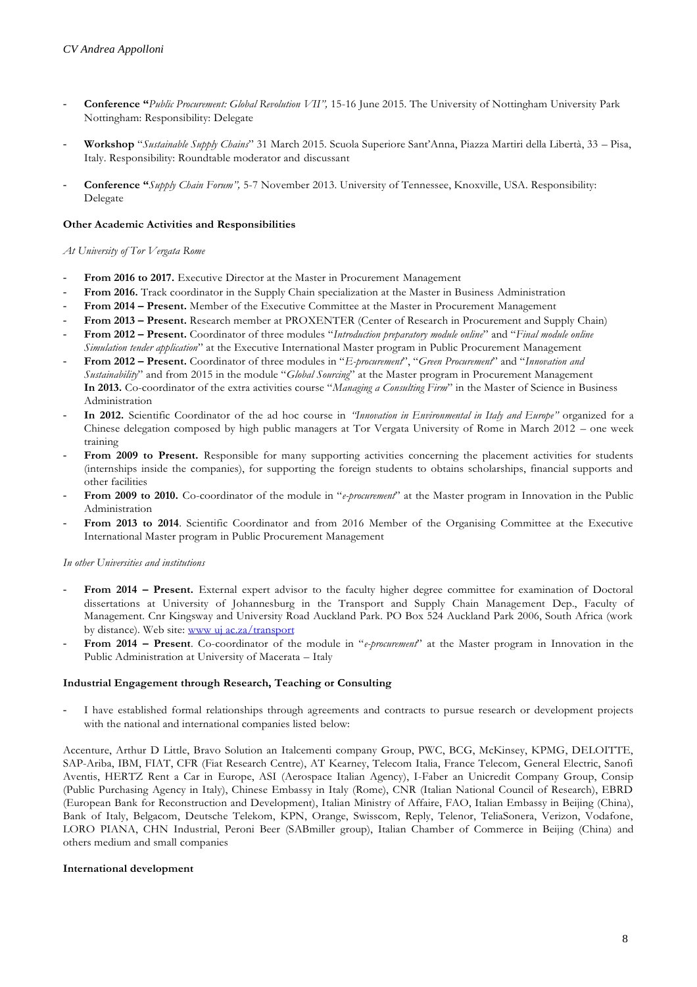- **Conference "***Public Procurement: Global Revolution VII",* 15-16 June 2015. The University of Nottingham University Park Nottingham: Responsibility: Delegate
- **Workshop** "*Sustainable Supply Chains*" 31 March 2015. Scuola Superiore Sant'Anna, Piazza Martiri della Libertà, 33 Pisa, Italy. Responsibility: Roundtable moderator and discussant
- **Conference "***Supply Chain Forum",* 5-7 November 2013. University of Tennessee, Knoxville, USA. Responsibility: Delegate

#### **Other Academic Activities and Responsibilities**

#### *At University of Tor Vergata Rome*

- From 2016 to 2017. Executive Director at the Master in Procurement Management
- From 2016. Track coordinator in the Supply Chain specialization at the Master in Business Administration
- **From 2014 – Present.** Member of the Executive Committee at the Master in Procurement Management
- **From 2013 – Present.** Research member at PROXENTER (Center of Research in Procurement and Supply Chain)
- **From 2012 – Present.** Coordinator of three modules "*Introduction preparatory module online*" and "*Final module online Simulation tender application*" at the Executive International Master program in Public Procurement Management
- **From 2012 – Present.** Coordinator of three modules in "*E-procurement*", "*Green Procurement*" and "*Innovation and Sustainability*" and from 2015 in the module "*Global Sourcing*" at the Master program in Procurement Management **In 2013.** Co-coordinator of the extra activities course "*Managing a Consulting Firm*" in the Master of Science in Business Administration
- **In 2012.** Scientific Coordinator of the ad hoc course in *"Innovation in Environmental in Italy and Europe"* organized for a Chinese delegation composed by high public managers at Tor Vergata University of Rome in March 2012 – one week training
- From 2009 to Present. Responsible for many supporting activities concerning the placement activities for students (internships inside the companies), for supporting the foreign students to obtains scholarships, financial supports and other facilities
- From 2009 to 2010. Co-coordinator of the module in "*e-procurement*" at the Master program in Innovation in the Public Administration
- From 2013 to 2014. Scientific Coordinator and from 2016 Member of the Organising Committee at the Executive International Master program in Public Procurement Management

#### *In other Universities and institutions*

- **From 2014 – Present.** External expert advisor to the faculty higher degree committee for examination of Doctoral dissertations at University of Johannesburg in the Transport and Supply Chain Management Dep., Faculty of Management. Cnr Kingsway and University Road Auckland Park. PO Box 524 Auckland Park 2006, South Africa (work by distance). Web site: www uj ac.za/transport
- From 2014 Present. Co-coordinator of the module in "e-procurement" at the Master program in Innovation in the Public Administration at University of Macerata – Italy

#### **Industrial Engagement through Research, Teaching or Consulting**

I have established formal relationships through agreements and contracts to pursue research or development projects with the national and international companies listed below:

Accenture, Arthur D Little, Bravo Solution an Italcementi company Group, PWC, BCG, McKinsey, KPMG, DELOITTE, SAP-Ariba, IBM, FIAT, CFR (Fiat Research Centre), AT Kearney, Telecom Italia, France Telecom, General Electric, Sanofi Aventis, HERTZ Rent a Car in Europe, ASI (Aerospace Italian Agency), I-Faber an Unicredit Company Group, Consip (Public Purchasing Agency in Italy), Chinese Embassy in Italy (Rome), CNR (Italian National Council of Research), EBRD (European Bank for Reconstruction and Development), Italian Ministry of Affaire, FAO, Italian Embassy in Beijing (China), Bank of Italy, Belgacom, Deutsche Telekom, KPN, Orange, Swisscom, Reply, Telenor, TeliaSonera, Verizon, Vodafone, LORO PIANA, CHN Industrial, Peroni Beer (SABmiller group), Italian Chamber of Commerce in Beijing (China) and others medium and small companies

#### **International development**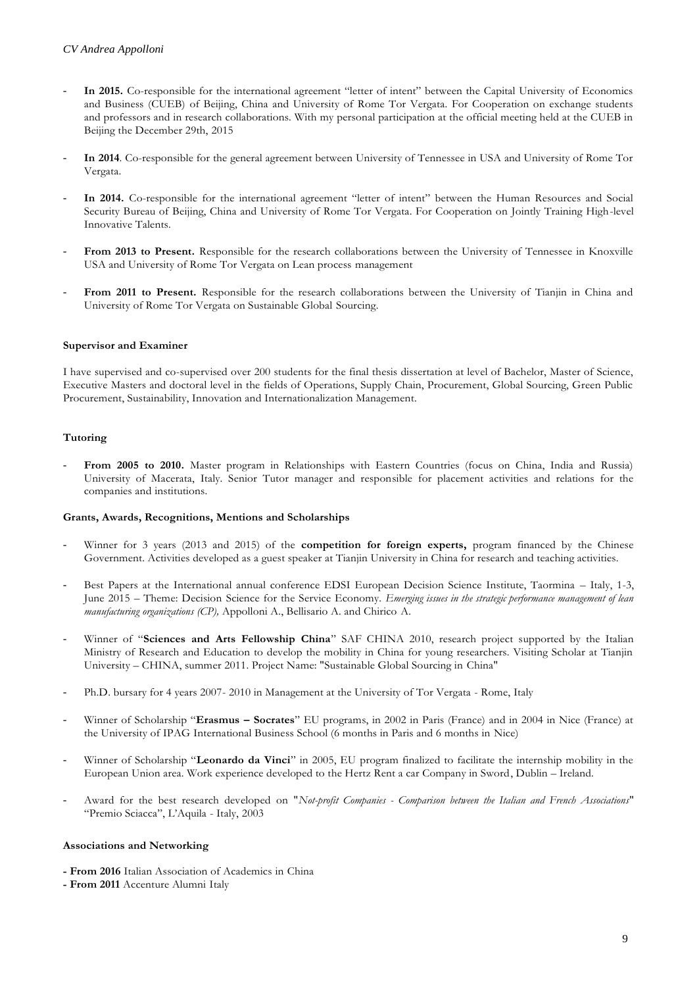- **In 2015.** Co-responsible for the international agreement "letter of intent" between the Capital University of Economics and Business (CUEB) of Beijing, China and University of Rome Tor Vergata. For Cooperation on exchange students and professors and in research collaborations. With my personal participation at the official meeting held at the CUEB in Beijing the December 29th, 2015
- **In 2014**. Co-responsible for the general agreement between University of Tennessee in USA and University of Rome Tor Vergata.
- In 2014. Co-responsible for the international agreement "letter of intent" between the Human Resources and Social Security Bureau of Beijing, China and University of Rome Tor Vergata. For Cooperation on Jointly Training High-level Innovative Talents.
- From 2013 to Present. Responsible for the research collaborations between the University of Tennessee in Knoxville USA and University of Rome Tor Vergata on Lean process management
- **From 2011 to Present.** Responsible for the research collaborations between the University of Tianjin in China and University of Rome Tor Vergata on Sustainable Global Sourcing.

#### **Supervisor and Examiner**

I have supervised and co-supervised over 200 students for the final thesis dissertation at level of Bachelor, Master of Science, Executive Masters and doctoral level in the fields of Operations, Supply Chain, Procurement, Global Sourcing, Green Public Procurement, Sustainability, Innovation and Internationalization Management.

#### **Tutoring**

- **From 2005 to 2010.** Master program in Relationships with Eastern Countries (focus on China, India and Russia) University of Macerata, Italy. Senior Tutor manager and responsible for placement activities and relations for the companies and institutions.

#### **Grants, Awards, Recognitions, Mentions and Scholarships**

- Winner for 3 years (2013 and 2015) of the **competition for foreign experts,** program financed by the Chinese Government. Activities developed as a guest speaker at Tianjin University in China for research and teaching activities.
- Best Papers at the International annual conference EDSI European Decision Science Institute, Taormina Italy, 1-3, June 2015 – Theme: Decision Science for the Service Economy. *Emerging issues in the strategic performance management of lean manufacturing organizations (CP),* Appolloni A., Bellisario A. and Chirico A.
- Winner of "**Sciences and Arts Fellowship China**" SAF CHINA 2010, research project supported by the Italian Ministry of Research and Education to develop the mobility in China for young researchers. Visiting Scholar at Tianjin University – CHINA, summer 2011. Project Name: "Sustainable Global Sourcing in China"
- Ph.D. bursary for 4 years 2007- 2010 in Management at the University of Tor Vergata Rome, Italy
- Winner of Scholarship "**Erasmus – Socrates**" EU programs, in 2002 in Paris (France) and in 2004 in Nice (France) at the University of IPAG International Business School (6 months in Paris and 6 months in Nice)
- Winner of Scholarship "**Leonardo da Vinci**" in 2005, EU program finalized to facilitate the internship mobility in the European Union area. Work experience developed to the Hertz Rent a car Company in Sword, Dublin – Ireland.
- Award for the best research developed on "*Not-profit Companies - Comparison between the Italian and French Associations*" "Premio Sciacca", L'Aquila - Italy, 2003

#### **Associations and Networking**

- **- From 2016** Italian Association of Academics in China
- **- From 2011** Accenture Alumni Italy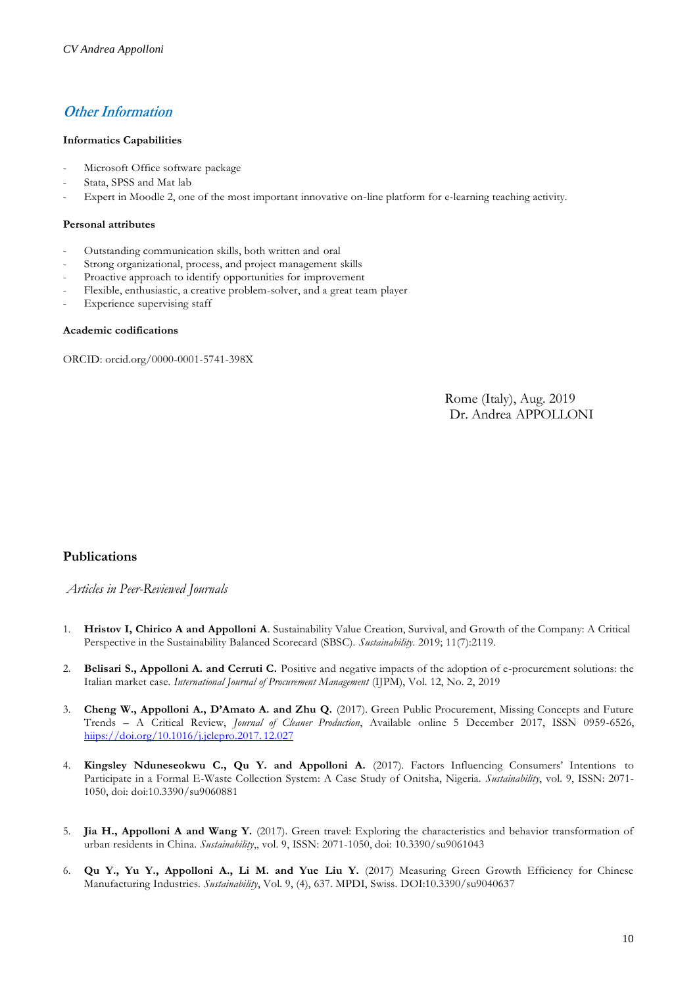# **Other Information**

#### **Informatics Capabilities**

- Microsoft Office software package
- Stata, SPSS and Mat lab
- Expert in Moodle 2, one of the most important innovative on-line platform for e-learning teaching activity.

#### **Personal attributes**

- Outstanding communication skills, both written and oral
- Strong organizational, process, and project management skills
- Proactive approach to identify opportunities for improvement
- Flexible, enthusiastic, a creative problem-solver, and a great team player
- Experience supervising staff

#### **Academic codifications**

ORCID: orcid.org/0000-0001-5741-398X

Rome (Italy), Aug. 2019 Dr. Andrea APPOLLONI

# **Publications**

*Articles in Peer-Reviewed Journals*

- 1. **Hristov I, Chirico A and Appolloni A**. Sustainability Value Creation, Survival, and Growth of the Company: A Critical Perspective in the Sustainability Balanced Scorecard (SBSC). *Sustainability*. 2019; 11(7):2119.
- 2. **Belisari S., Appolloni A. and Cerruti C.** Positive and negative impacts of the adoption of e-procurement solutions: the Italian market case. *International Journal of Procurement Management* (IJPM), Vol. 12, No. 2, 2019
- 3. **Cheng W., Appolloni A., D'Amato A. and Zhu Q.** (2017). Green Public Procurement, Missing Concepts and Future Trends – A Critical Review, *Journal of Cleaner Production*, Available online 5 December 2017, ISSN 0959-6526, hiips://doi.org/10.1016/j.jclepro.2017. 12.027
- 4. **Kingsley Nduneseokwu C., Qu Y. and Appolloni A.** (2017). Factors Influencing Consumers' Intentions to Participate in a Formal E-Waste Collection System: A Case Study of Onitsha, Nigeria. *Sustainability*, vol. 9, ISSN: 2071- 1050, doi: doi:10.3390/su9060881
- 5. **Jia H., Appolloni A and Wang Y.** (2017). Green travel: Exploring the characteristics and behavior transformation of urban residents in China. *Sustainability*,, vol. 9, ISSN: 2071-1050, doi: 10.3390/su9061043
- 6. **Qu Y., Yu Y., Appolloni A., Li M. and Yue Liu Y.** (2017) Measuring Green Growth Efficiency for Chinese Manufacturing Industries. *Sustainability*, Vol. 9, (4), 637. MPDI, Swiss. DOI:10.3390/su9040637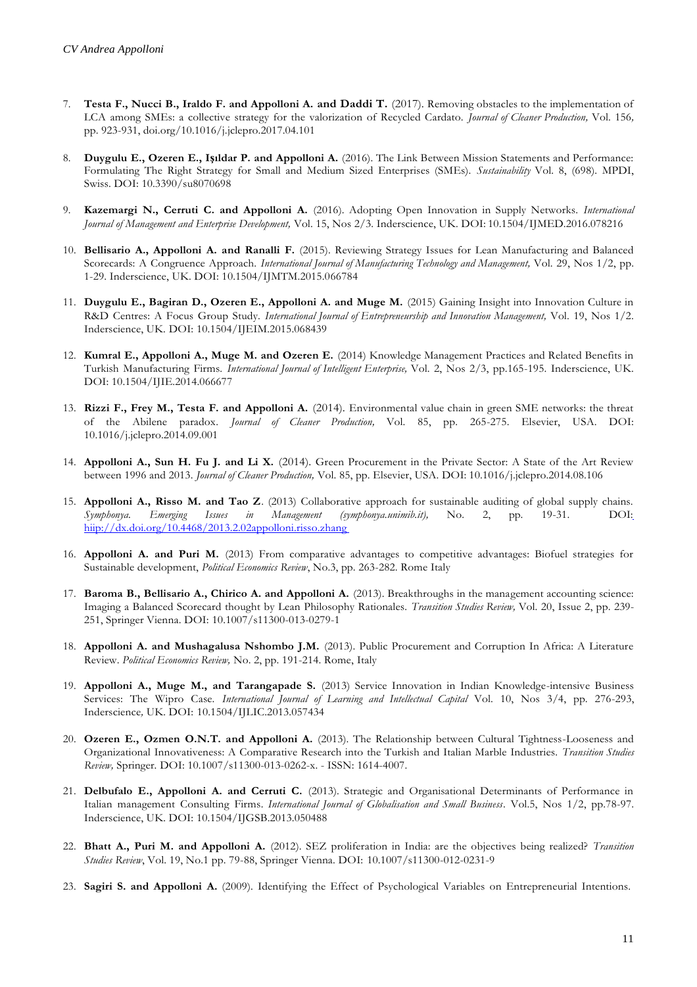- 7. **Testa F., Nucci B., Iraldo F. and Appolloni A. and Daddi T.** (2017). Removing obstacles to the implementation of LCA among SMEs: a collective strategy for the valorization of Recycled Cardato. *Journal of Cleaner Production,* Vol. 156*,* pp. 923-931, doi.org/10.1016/j.jclepro.2017.04.101
- 8. **Duygulu E., Ozeren E., Işıldar P. and Appolloni A.** (2016). The Link Between Mission Statements and Performance: Formulating The Right Strategy for Small and Medium Sized Enterprises (SMEs). *Sustainability* Vol. 8, (698). MPDI, Swiss. DOI: 10.3390/su8070698
- 9. **Kazemargi N., Cerruti C. and Appolloni A.** (2016). Adopting Open Innovation in Supply Networks. *International Journal of Management and Enterprise Development,* Vol. 15, Nos 2/3. Inderscience, UK. DOI: 10.1504/IJMED.2016.078216
- 10. **Bellisario A., Appolloni A. and Ranalli F.** (2015). Reviewing Strategy Issues for Lean Manufacturing and Balanced Scorecards: A Congruence Approach. *International Journal of Manufacturing Technology and Management*, Vol. 29, Nos 1/2, pp. 1-29. Inderscience, UK. DOI: 10.1504/IJMTM.2015.066784
- 11. Duygulu E., Bagiran D., Ozeren E., Appolloni A. and Muge M. (2015) Gaining Insight into Innovation Culture in R&D Centres: A Focus Group Study. *International Journal of Entrepreneurship and Innovation Management,* Vol. 19, Nos 1/2. Inderscience, UK. DOI: 10.1504/IJEIM.2015.068439
- 12. **Kumral E., Appolloni A., Muge M. and Ozeren E.** (2014) Knowledge Management Practices and Related Benefits in Turkish Manufacturing Firms. *International Journal of Intelligent Enterprise,* Vol. 2, Nos 2/3, pp.165-195. Inderscience, UK. DOI: 10.1504/IJIE.2014.066677
- 13. Rizzi F., Frey M., Testa F. and Appolloni A. (2014). Environmental value chain in green SME networks: the threat of the Abilene paradox. *Journal of Cleaner Production,* Vol. 85, pp. 265-275. Elsevier, USA. DOI: 10.1016/j.jclepro.2014.09.001
- 14. **Appolloni A., Sun H. Fu J. and Li X.** (2014). Green Procurement in the Private Sector: A State of the Art Review between 1996 and 2013. *Journal of Cleaner Production,* Vol. 85, pp. Elsevier, USA. DOI: 10.1016/j.jclepro.2014.08.106
- 15. **Appolloni A., Risso M. and Tao Z**. (2013) Collaborative approach for sustainable auditing of global supply chains. *Symphonya. Emerging Issues in Management (symphonya.unimib.it),* No. 2, pp. 19-31. DOI: hiip://dx.doi.org/10.4468/2013.2.02appolloni.risso.zhang
- 16. **Appolloni A. and Puri M.** (2013) From comparative advantages to competitive advantages: Biofuel strategies for Sustainable development, *Political Economics Review*, No.3, pp. 263-282. Rome Italy
- 17. **Baroma B., Bellisario A., Chirico A. and Appolloni A.** (2013). Breakthroughs in the management accounting science: Imaging a Balanced Scorecard thought by Lean Philosophy Rationales. *Transition Studies Review,* Vol. 20, Issue 2, pp. 239- 251, Springer Vienna. DOI: 10.1007/s11300-013-0279-1
- 18. **Appolloni A. and Mushagalusa Nshombo J.M.** (2013). Public Procurement and Corruption In Africa: A Literature Review. *Political Economics Review,* No. 2, pp. 191-214. Rome, Italy
- 19. **Appolloni A., Muge M., and Tarangapade S.** (2013) Service Innovation in Indian Knowledge-intensive Business Services: The Wipro Case. *International Journal of Learning and Intellectual Capital* Vol. 10, Nos 3/4, pp. 276-293, Inderscience*,* UK. DOI: 10.1504/IJLIC.2013.057434
- 20. **Ozeren E., Ozmen O.N.T. and Appolloni A.** (2013). The Relationship between Cultural Tightness-Looseness and Organizational Innovativeness: A Comparative Research into the Turkish and Italian Marble Industries. *Transition Studies Review,* Springer*.* DOI: 10.1007/s11300-013-0262-x. - ISSN: 1614-4007.
- 21. **Delbufalo E., Appolloni A. and Cerruti C.** (2013). Strategic and Organisational Determinants of Performance in Italian management Consulting Firms*. International Journal of Globalisation and Small Business*. Vol.5, Nos 1/2, pp.78-97. Inderscience, UK. DOI: 10.1504/IJGSB.2013.050488
- 22. **Bhatt A., Puri M. and Appolloni A.** (2012). SEZ proliferation in India: are the objectives being realized? *Transition Studies Review*, Vol. 19, No.1 pp. 79-88, Springer Vienna. DOI: 10.1007/s11300-012-0231-9
- 23. **Sagiri S. and Appolloni A.** (2009). Identifying the Effect of Psychological Variables on Entrepreneurial Intentions.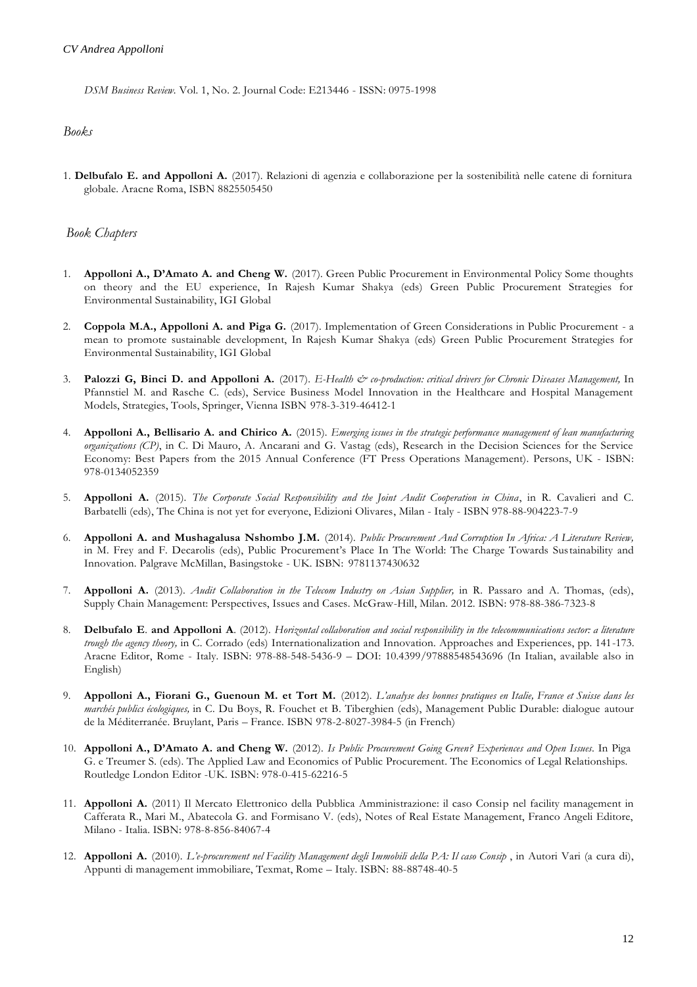*DSM Business Review.* Vol. 1, No. 2. Journal Code: E213446 - ISSN: 0975-1998

#### *Books*

1. **Delbufalo E. and Appolloni A.** (2017). Relazioni di agenzia e collaborazione per la sostenibilità nelle catene di fornitura globale. Aracne Roma, ISBN 8825505450

#### *Book Chapters*

- 1. **Appolloni A., D'Amato A. and Cheng W.** (2017). Green Public Procurement in Environmental Policy Some thoughts on theory and the EU experience, In Rajesh Kumar Shakya (eds) Green Public Procurement Strategies for Environmental Sustainability, IGI Global
- 2. **Coppola M.A., Appolloni A. and Piga G.** (2017). Implementation of Green Considerations in Public Procurement a mean to promote sustainable development, In Rajesh Kumar Shakya (eds) Green Public Procurement Strategies for Environmental Sustainability, IGI Global
- 3. **Palozzi G, Binci D. and Appolloni A.** (2017). *E-Health & co-production: critical drivers for Chronic Diseases Management,* In Pfannstiel M. and Rasche C. (eds), Service Business Model Innovation in the Healthcare and Hospital Management Models, Strategies, Tools, Springer, Vienna ISBN 978-3-319-46412-1
- 4. **Appolloni A., Bellisario A. and Chirico A.** (2015). *Emerging issues in the strategic performance management of lean manufacturing organizations (CP)*, in C. Di Mauro, A. Ancarani and G. Vastag (eds), Research in the Decision Sciences for the Service Economy: Best Papers from the 2015 Annual Conference (FT Press Operations Management). Persons, UK - ISBN: 978-0134052359
- 5. **Appolloni A.** (2015). *The Corporate Social Responsibility and the Joint Audit Cooperation in China*, in R. Cavalieri and C. Barbatelli (eds), The China is not yet for everyone, Edizioni Olivares, Milan - Italy - ISBN 978-88-904223-7-9
- 6. **Appolloni A. and Mushagalusa Nshombo J.M.** (2014). *Public Procurement And Corruption In Africa: A Literature Review,* in M. Frey and F. Decarolis (eds), Public Procurement's Place In The World: The Charge Towards Sustainability and Innovation. Palgrave McMillan, Basingstoke - UK. ISBN: 9781137430632
- 7. **Appolloni A.** (2013). *Audit Collaboration in the Telecom Industry on Asian Supplier,* in R. Passaro and A. Thomas, (eds), Supply Chain Management: Perspectives, Issues and Cases. McGraw-Hill, Milan. 2012. ISBN: 978-88-386-7323-8
- 8. **Delbufalo E**. **and Appolloni A**. (2012). *Horizontal collaboration and social responsibility in the telecommunications sector: a literature trough the agency theory,* in C. Corrado (eds) Internationalization and Innovation. Approaches and Experiences, pp. 141-173. Aracne Editor, Rome - Italy. ISBN: 978-88-548-5436-9 – DOI: 10.4399/97888548543696 (In Italian, available also in English)
- 9. **Appolloni A., Fiorani G., Guenoun M. et Tort M.** (2012). *L'analyse des bonnes pratiques en Italie, France et Suisse dans les marchés publics écologiques,* in C. Du Boys, R. Fouchet et B. Tiberghien (eds), Management Public Durable: dialogue autour de la Méditerranée. Bruylant, Paris – France. ISBN 978-2-8027-3984-5 (in French)
- 10. Appolloni A., D'Amato A. and Cheng W. (2012). Is Public Procurement Going Green? Experiences and Open Issues. In Piga G. e Treumer S. (eds). The Applied Law and Economics of Public Procurement. The Economics of Legal Relationships. Routledge London Editor -UK. ISBN: 978-0-415-62216-5
- 11. **Appolloni A.** (2011) Il Mercato Elettronico della Pubblica Amministrazione: il caso Consip nel facility management in Cafferata R., Mari M., Abatecola G. and Formisano V. (eds), Notes of Real Estate Management, Franco Angeli Editore, Milano - Italia. ISBN: 978-8-856-84067-4
- 12. **Appolloni A.** (2010). *L'e-procurement nel Facility Management degli Immobili della PA: Il caso Consip* , in Autori Vari (a cura di), Appunti di management immobiliare, Texmat, Rome – Italy. ISBN: 88-88748-40-5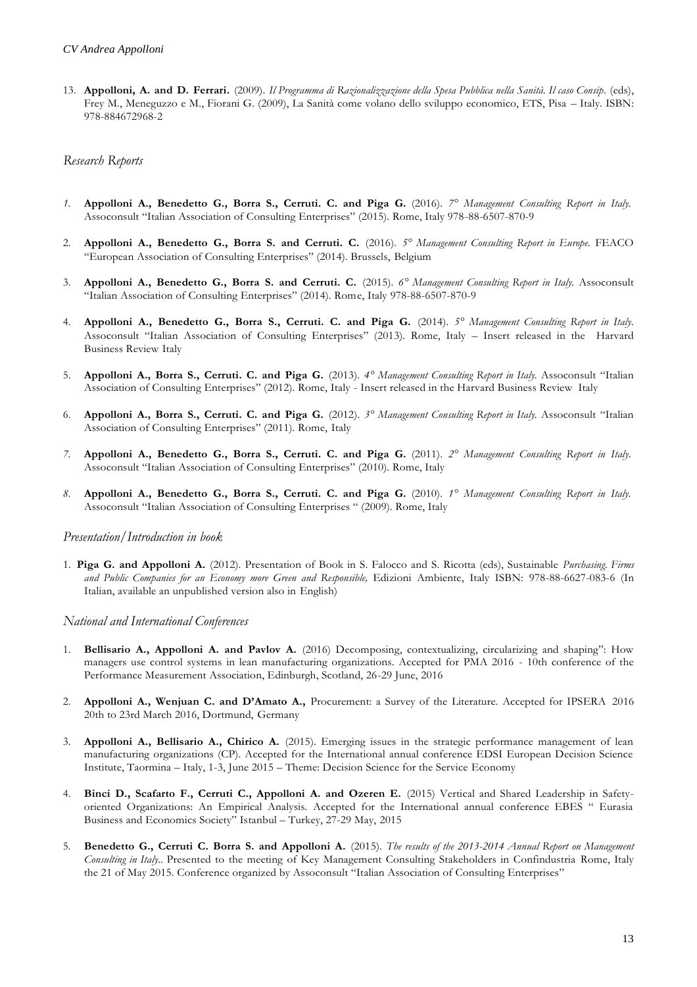13. **Appolloni, A. and D. Ferrari.** (2009). *Il Programma di Razionalizzazione della Spesa Pubblica nella Sanità. Il caso Consip*. (eds), Frey M., Meneguzzo e M., Fiorani G. (2009), La Sanità come volano dello sviluppo economico, ETS, Pisa – Italy. ISBN: 978-884672968-2

## *Research Reports*

- 1. Appolloni A., Benedetto G., Borra S., Cerruti. C. and Piga G. (2016). 7° Management Consulting Report in Italy. Assoconsult "Italian Association of Consulting Enterprises" (2015). Rome, Italy 978-88-6507-870-9
- 2. **Appolloni A., Benedetto G., Borra S. and Cerruti. C.** (2016). <sup>5°</sup> Management Consulting Report in Europe. FEACO "European Association of Consulting Enterprises" (2014). Brussels, Belgium
- 3. **Appolloni A., Benedetto G., Borra S. and Cerruti. C.** (2015). *6° Management Consulting Report in Italy.* Assoconsult "Italian Association of Consulting Enterprises" (2014). Rome, Italy 978-88-6507-870-9
- 4. **Appolloni A., Benedetto G., Borra S., Cerruti. C. and Piga G.** (2014). *5° Management Consulting Report in Italy.*  Assoconsult "Italian Association of Consulting Enterprises" (2013). Rome, Italy – Insert released in the Harvard Business Review Italy
- 5. **Appolloni A., Borra S., Cerruti. C. and Piga G.** (2013). *4° Management Consulting Report in Italy.* Assoconsult "Italian Association of Consulting Enterprises" (2012). Rome, Italy - Insert released in the Harvard Business Review Italy
- 6. **Appolloni A., Borra S., Cerruti. C. and Piga G.** (2012). *3° Management Consulting Report in Italy.* Assoconsult "Italian Association of Consulting Enterprises" (2011). Rome, Italy
- 7. Appolloni A., Benedetto G., Borra S., Cerruti. C. and Piga G. (2011). 2° Management Consulting Report in Italy. Assoconsult "Italian Association of Consulting Enterprises" (2010). Rome, Italy
- 8. Appolloni A., Benedetto G., Borra S., Cerruti. C. and Piga G. (2010). 1° Management Consulting Report in Italy. Assoconsult "Italian Association of Consulting Enterprises " (2009). Rome, Italy

#### *Presentation/Introduction in book*

1. **Piga G. and Appolloni A.** (2012). Presentation of Book in S. Falocco and S. Ricotta (eds), Sustainable *Purchasing. Firms and Public Companies for an Economy more Green and Responsible,* Edizioni Ambiente, Italy ISBN: 978-88-6627-083-6 (In Italian, available an unpublished version also in English)

### *National and International Conferences*

- 1. **Bellisario A., Appolloni A. and Pavlov A.** (2016) Decomposing, contextualizing, circularizing and shaping": How managers use control systems in lean manufacturing organizations. Accepted for PMA 2016 - 10th conference of the Performance Measurement Association, Edinburgh, Scotland, 26-29 June, 2016
- 2. **Appolloni A., Wenjuan C. and D'Amato A.,** Procurement: a Survey of the Literature. Accepted for IPSERA 2016 20th to 23rd March 2016, Dortmund, Germany
- 3. **Appolloni A., Bellisario A., Chirico A.** (2015). Emerging issues in the strategic performance management of lean manufacturing organizations (CP). Accepted for the International annual conference EDSI European Decision Science Institute, Taormina – Italy, 1-3, June 2015 – Theme: Decision Science for the Service Economy
- 4. **Binci D., Scafarto F., Cerruti C., Appolloni A. and Ozeren E.** (2015) Vertical and Shared Leadership in Safetyoriented Organizations: An Empirical Analysis. Accepted for the International annual conference EBES " Eurasia Business and Economics Society" Istanbul – Turkey, 27-29 May, 2015
- 5. **Benedetto G., Cerruti C. Borra S. and Appolloni A.** (2015). *The results of the 2013-2014 Annual Report on Management Consulting in Italy..* Presented to the meeting of Key Management Consulting Stakeholders in Confindustria Rome, Italy the 21 of May 2015. Conference organized by Assoconsult "Italian Association of Consulting Enterprises"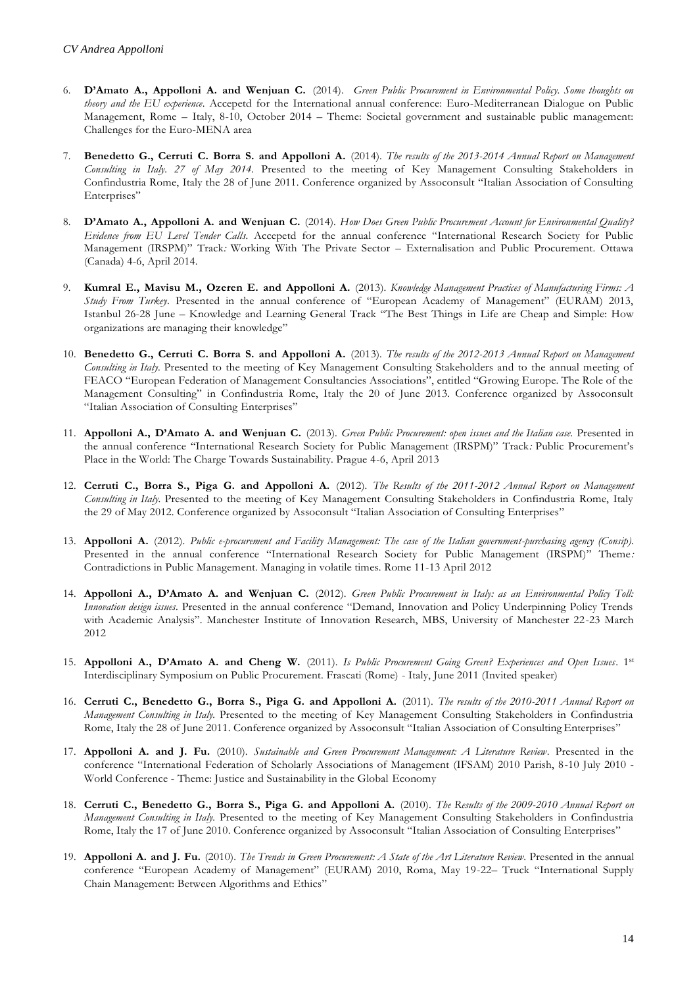- 6. **D'Amato A., Appolloni A. and Wenjuan C.** (2014). *Green Public Procurement in Environmental Policy. Some thoughts on theory and the EU experience*. Accepetd for the International annual conference: Euro-Mediterranean Dialogue on Public Management, Rome – Italy, 8-10, October 2014 – Theme: Societal government and sustainable public management: Challenges for the Euro-MENA area
- 7. **Benedetto G., Cerruti C. Borra S. and Appolloni A.** (2014). *The results of the 2013-2014 Annual Report on Management Consulting in Italy. 27 of May 2014.* Presented to the meeting of Key Management Consulting Stakeholders in Confindustria Rome, Italy the 28 of June 2011. Conference organized by Assoconsult "Italian Association of Consulting Enterprises"
- 8. **D'Amato A., Appolloni A. and Wenjuan C.** (2014). *How Does Green Public Procurement Account for Environmental Quality? Evidence from EU Level Tender Calls*. Accepetd for the annual conference "International Research Society for Public Management (IRSPM)" Track*:* Working With The Private Sector – Externalisation and Public Procurement. Ottawa (Canada) 4-6, April 2014.
- 9. **Kumral E., Mavisu M., Ozeren E. and Appolloni A.** (2013). *Knowledge Management Practices of Manufacturing Firms: A Study From Turkey*. Presented in the annual conference of "European Academy of Management" (EURAM) 2013, Istanbul 26-28 June – Knowledge and Learning General Track "The Best Things in Life are Cheap and Simple: How organizations are managing their knowledge"
- 10. **Benedetto G., Cerruti C. Borra S. and Appolloni A.** (2013). *The results of the 2012-2013 Annual Report on Management Consulting in Italy.* Presented to the meeting of Key Management Consulting Stakeholders and to the annual meeting of FEACO "European Federation of Management Consultancies Associations", entitled "Growing Europe. The Role of the Management Consulting" in Confindustria Rome, Italy the 20 of June 2013. Conference organized by Assoconsult "Italian Association of Consulting Enterprises"
- 11. **Appolloni A., D'Amato A. and Wenjuan C.** (2013). *Green Public Procurement: open issues and the Italian case.* Presented in the annual conference "International Research Society for Public Management (IRSPM)" Track*:* Public Procurement's Place in the World: The Charge Towards Sustainability. Prague 4-6, April 2013
- 12. **Cerruti C., Borra S., Piga G. and Appolloni A.** (2012). *The Results of the 2011-2012 Annual Report on Management Consulting in Italy.* Presented to the meeting of Key Management Consulting Stakeholders in Confindustria Rome, Italy the 29 of May 2012. Conference organized by Assoconsult "Italian Association of Consulting Enterprises"
- 13. **Appolloni A.** (2012). *Public e-procurement and Facility Management: The case of the Italian government-purchasing agency (Consip).*  Presented in the annual conference "International Research Society for Public Management (IRSPM)" Theme*:*  Contradictions in Public Management. Managing in volatile times. Rome 11-13 April 2012
- 14. **Appolloni A., D'Amato A. and Wenjuan C.** (2012). *Green Public Procurement in Italy: as an Environmental Policy Toll: Innovation design issues*. Presented in the annual conference "Demand, Innovation and Policy Underpinning Policy Trends with Academic Analysis". Manchester Institute of Innovation Research, MBS, University of Manchester 22-23 March 2012
- 15. **Appolloni A., D'Amato A. and Cheng W.** (2011). *Is Public Procurement Going Green? Experiences and Open Issues*. 1st Interdisciplinary Symposium on Public Procurement. Frascati (Rome) - Italy, June 2011 (Invited speaker)
- 16. **Cerruti C., Benedetto G., Borra S., Piga G. and Appolloni A.** (2011). *The results of the 2010-2011 Annual Report on Management Consulting in Italy.* Presented to the meeting of Key Management Consulting Stakeholders in Confindustria Rome, Italy the 28 of June 2011. Conference organized by Assoconsult "Italian Association of Consulting Enterprises"
- 17. **Appolloni A. and J. Fu.** (2010). *Sustainable and Green Procurement Management: A Literature Review*. Presented in the conference "International Federation of Scholarly Associations of Management (IFSAM) 2010 Parish, 8-10 July 2010 - World Conference - Theme: Justice and Sustainability in the Global Economy
- 18. **Cerruti C., Benedetto G., Borra S., Piga G. and Appolloni A.** (2010). *The Results of the 2009-2010 Annual Report on Management Consulting in Italy.* Presented to the meeting of Key Management Consulting Stakeholders in Confindustria Rome, Italy the 17 of June 2010. Conference organized by Assoconsult "Italian Association of Consulting Enterprises"
- 19. **Appolloni A. and J. Fu.** (2010). *The Trends in Green Procurement: A State of the Art Literature Review*. Presented in the annual conference "European Academy of Management" (EURAM) 2010, Roma, May 19-22– Truck "International Supply Chain Management: Between Algorithms and Ethics"